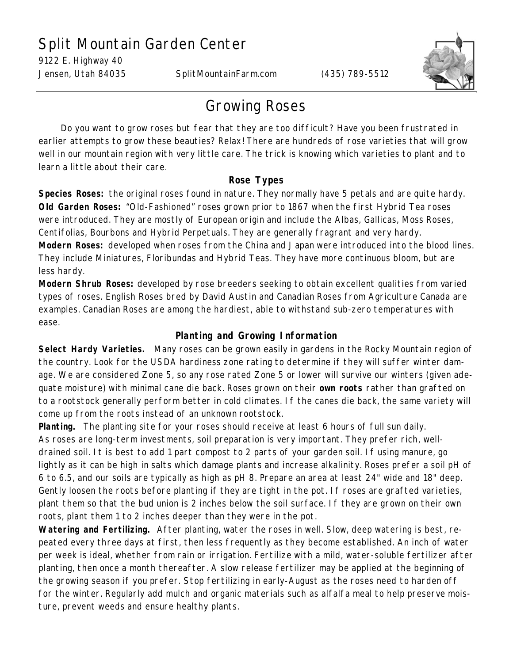## Split Mountain Garden Center

9122 E. Highway 40

Jensen, Utah 84035 SplitMountainFarm.com (435) 789-5512



## Growing Roses

 Do you want to grow roses but fear that they are too difficult? Have you been frustrated in earlier attempts to grow these beauties? Relax! There are hundreds of rose varieties that will grow well in our mountain region with very little care. The trick is knowing which varieties to plant and to learn a little about their care.

## **Rose Types**

**Species Roses:** the original roses found in nature. They normally have 5 petals and are quite hardy. **Old Garden Roses:** "Old-Fashioned" roses grown prior to 1867 when the first Hybrid Tea roses were introduced. They are mostly of European origin and include the Albas, Gallicas, Moss Roses, Centifolias, Bourbons and Hybrid Perpetuals. They are generally fragrant and very hardy. **Modern Roses:** developed when roses from the China and Japan were introduced into the blood lines. They include Miniatures, Floribundas and Hybrid Teas. They have more continuous bloom, but are less hardy.

**Modern Shrub Roses:** developed by rose breeders seeking to obtain excellent qualities from varied types of roses. English Roses bred by David Austin and Canadian Roses from Agriculture Canada are examples. Canadian Roses are among the hardiest, able to withstand sub-zero temperatures with ease.

## **Planting and Growing Information**

**Select Hardy Varieties.** Many roses can be grown easily in gardens in the Rocky Mountain region of the country. Look for the USDA hardiness zone rating to determine if they will suffer winter damage. We are considered Zone 5, so any rose rated Zone 5 or lower will survive our winters (given adequate moisture) with minimal cane die back. Roses grown on their **own roots** rather than grafted on to a rootstock generally perform better in cold climates. If the canes die back, the same variety will come up from the roots instead of an unknown rootstock.

**Planting.** The planting site for your roses should receive at least 6 hours of full sun daily. As roses are long-term investments, soil preparation is very important. They prefer rich, welldrained soil. It is best to add 1 part compost to 2 parts of your garden soil. If using manure, go lightly as it can be high in salts which damage plants and increase alkalinity. Roses prefer a soil pH of 6 to 6.5, and our soils are typically as high as pH 8. Prepare an area at least 24" wide and 18" deep. Gently loosen the roots before planting if they are tight in the pot. If roses are grafted varieties, plant them so that the bud union is 2 inches below the soil surface. If they are grown on their own roots, plant them 1 to 2 inches deeper than they were in the pot.

**Watering and Fertilizing.** After planting, water the roses in well. Slow, deep watering is best, repeated every three days at first, then less frequently as they become established. An inch of water per week is ideal, whether from rain or irrigation. Fertilize with a mild, water-soluble fertilizer after planting, then once a month thereafter. A slow release fertilizer may be applied at the beginning of the growing season if you prefer. Stop fertilizing in early-August as the roses need to harden off for the winter. Regularly add mulch and organic materials such as alfalfa meal to help preserve moisture, prevent weeds and ensure healthy plants.